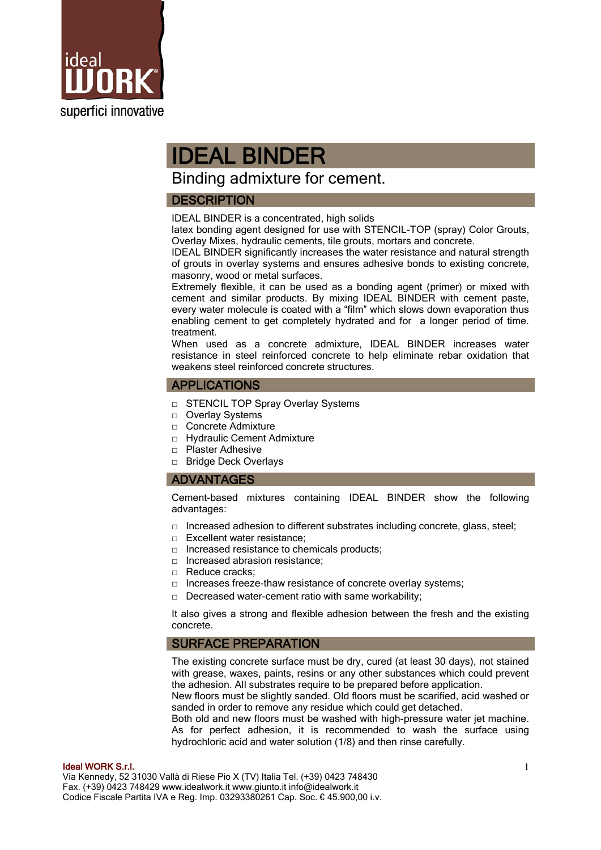

# **IDEAL BINDER**<br>Binding admixture for cement.

# **DESCRIPTION**

IDEAL BINDER is a concentrated, high solids

latex bonding agent designed for use with STENCIL-TOP (spray) Color Grouts, Overlay Mixes, hydraulic cements, tile grouts, mortars and concrete.

IDEAL BINDER significantly increases the water resistance and natural strength of grouts in overlay systems and ensures adhesive bonds to existing concrete, masonry, wood or metal surfaces.

Extremely flexible, it can be used as a bonding agent (primer) or mixed with cement and similar products. By mixing IDEAL BINDER with cement paste, every water molecule is coated with a "film" which slows down evaporation thus enabling cement to get completely hydrated and for a longer period of time. treatment.

When used as a concrete admixture, IDEAL BINDER increases water resistance in steel reinforced concrete to help eliminate rebar oxidation that weakens steel reinforced concrete structures.

# APPLICATIONS

- □ STENCIL TOP Spray Overlay Systems
- □ Overlay Systems
- □ Concrete Admixture
- □ Hydraulic Cement Admixture
- □ Plaster Adhesive
- □ Bridge Deck Overlays

# ADVANTAGES

Cement-based mixtures containing IDEAL BINDER show the following advantages:

- $\Box$  Increased adhesion to different substrates including concrete, glass, steel;
- □ Excellent water resistance:
- □ Increased resistance to chemicals products;
- □ Increased abrasion resistance:
- □ Reduce cracks:
- □ Increases freeze-thaw resistance of concrete overlay systems;
- □ Decreased water-cement ratio with same workability;

It also gives a strong and flexible adhesion between the fresh and the existing concrete.

### SURFACE PREPARATION

The existing concrete surface must be dry, cured (at least 30 days), not stained with grease, waxes, paints, resins or any other substances which could prevent the adhesion. All substrates require to be prepared before application.

New floors must be slightly sanded. Old floors must be scarified, acid washed or sanded in order to remove any residue which could get detached.

Both old and new floors must be washed with high-pressure water jet machine. As for perfect adhesion, it is recommended to wash the surface using hydrochloric acid and water solution (1/8) and then rinse carefully.

#### Ideal WORK S.r.l.

Via Kennedy, 52 31030 Vallà di Riese Pio X (TV) Italia Tel. (+39) 0423 748430 Fax. (+39) 0423 748429 www.idealwork.it www.giunto.it info@idealwork.it Codice Fiscale Partita IVA e Reg. Imp. 03293380261 Cap. Soc. € 45.900,00 i.v.